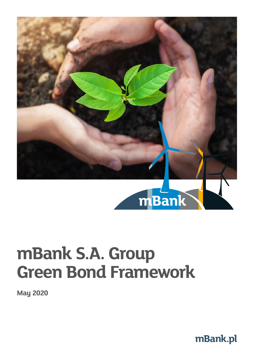

# **mBank S.A. Group Green Bond Framework**

**May 2020**

**[mBank.pl](https://www.mbank.pl/)**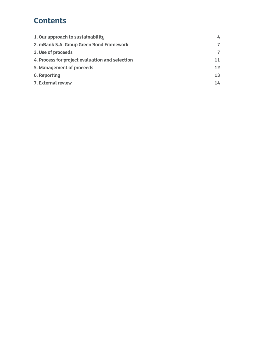### **Contents**

| 1. Our approach to sustainability               | 4              |
|-------------------------------------------------|----------------|
| 2. mBank S.A. Group Green Bond Framework        | $\overline{7}$ |
| 3. Use of proceeds                              | $\overline{ }$ |
| 4. Process for project evaluation and selection | 11             |
| 5. Management of proceeds                       | 12             |
| 6. Reporting                                    | 13             |
| 7. External review                              | 14             |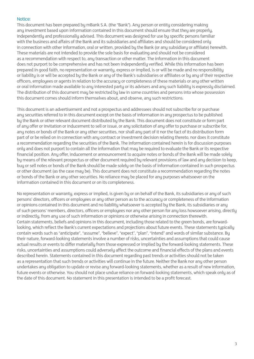#### Notice:

This document has been prepared by mBank S.A. (the "Bank"). Any person or entity considering making any investment based upon information contained in this document should ensure that they are properly, independently and professionally advised. This document was designed for use by specific persons familiar with the business and affairs of the Bank and its subsidiaries and affiliates and should be considered only in connection with other information, oral or written, provided by the Bank (or any subsidiary or affiliate) herewith. These materials are not intended to provide the sole basis for evaluating and should not be considered as a recommendation with respect to, any transaction or other matter. The information in this document does not purport to be comprehensive and has not been independently verified. While this information has been prepared in good faith, no representation or warranty, express or implied, is or will be made and no responsibility or liability is or will be accepted by the Bank or any of the Bank's subsidiaries or affiliates or by any of their respective officers, employees or agents in relation to the accuracy or completeness of these materials or any other written or oral information made available to any interested party or its advisers and any such liability is expressly disclaimed. The distribution of this document may be restricted by law in some countries and persons into whose possession this document comes should inform themselves about, and observe, any such restrictions.

This document is an advertisement and not a prospectus and addressees should not subscribe for or purchase any securities referred to in this document except on the basis of information in any prospectus to be published by the Bank or other relevant document distributed by the Bank. This document does not constitute or form part of any offer or invitation or inducement to sell or issue, or any solicitation of any offer to purchase or subscribe for, any notes or bonds of the Bank or any other securities, nor shall any part of it nor the fact of its distribution form part of or be relied on in connection with any contract or investment decision relating thereto, nor does it constitute a recommendation regarding the securities of the Bank. The information contained herein is for discussion purposes only and does not purport to contain all the information that may be required to evaluate the Bank or its respective financial position. Any offer, inducement or announcement to acquire notes or bonds of the Bank will be made solely by means of the relevant prospectus or other document required by relevant provisions of law and any decision to keep, buy or sell notes or bonds of the Bank should be made solely on the basis of information contained in such prospectus or other document (as the case may be). This document does not constitute a recommendation regarding the notes or bonds of the Bank or any other securities. No reliance may be placed for any purposes whatsoever on the information contained in this document or on its completeness.

No representation or warranty, express or implied, is given by or on behalf of the Bank, its subsidiaries or any of such persons' directors, officers or employees or any other person as to the accuracy or completeness of the information or opinions contained in this document and no liability whatsoever is accepted by the Bank, its subsidiaries or any of such persons' members, directors, officers or employees nor any other person for any loss howsoever arising, directly or indirectly, from any use of such information or opinions or otherwise arising in connection therewith. Certain statements, beliefs and opinions in this document, including those related to the green bonds, are forwardlooking, which reflect the Bank's current expectations and projections about future events. These statements typically contain words such as "anticipate", "assume", "believe", "expect", "plan", "intend" and words of similar substance. By their nature, forward-looking statements involve a number of risks, uncertainties and assumptions that could cause actual results or events to differ materially from those expressed or implied by the forward-looking statements. These risks, uncertainties and assumptions could adversely affect the outcome and financial effects of the plans and events described herein. Statements contained in this document regarding past trends or activities should not be taken as a representation that such trends or activities will continue in the future. Neither the Bank nor any other person undertakes any obligation to update or revise any forward-looking statements, whether as a result of new information, future events or otherwise. You should not place undue reliance on forward-looking statements, which speak only as of the date of this document. No statement in this presentation is intended to be a profit forecast.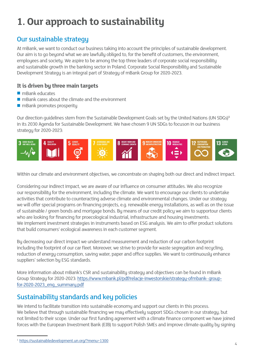# <span id="page-3-0"></span>**1. Our approach to sustainability**

#### Our sustainable strategy

At mBank, we want to conduct our business taking into account the principles of sustainable development. Our aim is to go beyond what we are lawfully obliged to, for the benefit of customers, the environment, employees and society. We aspire to be among the top three leaders of corporate social responsibility and sustainable growth in the banking sector in Poland. Corporate Social Responsibility and Sustainable Development Strategy is an integral part of Strategy of mBank Group for 2020-2023.

#### **It is driven by three main targets**

- $\blacksquare$  mBank educates
- $\blacksquare$  mBank cares about the climate and the environment
- $\blacksquare$  mBank promotes prosperity

Our direction guidelines stem from the Sustainable Development Goals set by the United Nations (UN SDGs)**<sup>1</sup>** in its 2030 Agenda for Sustainable Development. We have chosen 9 UN SDGs to focuson in our business strategy for 2020-2023:



Within our climate and environment objectives, we concentrate on shaping both our direct and indirect impact.

Considering our indirect impact, we are aware of our influence on consumer attitudes. We also recognize our responsibility for the environment, including the climate. We want to encourage our clients to undertake activities that contribute to counteracting adverse climate and environmental changes. Under our strategy we will offer special programs on financing projects, e.g. renewable energy installations, as well as on the issue of sustainable / green bonds and mortgage bonds. By means of our credit policy we aim to supportour clients who are looking for financing for proecological industrial, infrastructure and housing investments. We implement investment strategies in instruments based on ESG analysis. We aim to offer product solutions that build consumers' ecological awareness in each customer segment.

By decreasing our direct impact we understand measurement and reduction of our carbon footprint including the footprint of our car fleet. Moreover, we strive to provide for waste segregation and recycling, reduction of energy consumption, saving water, paper and office supplies. We want to continuously enhance suppliers' selection by ESG standards.

More information about mBank's CSR and sustainability strategy and objectives can be found in mBank Group Strategy for 2020-2023: [https://www.mbank.pl/pdf/relacje-inwestorskie/strategy-ofmbank- group](https://www.mbank.pl/pdf/relacje-inwestorskie/strategy-of-mbank-group-for-2020-2023_eng_summary.pdf)[for-2020-2023\\_eng\\_summary.pdf](https://www.mbank.pl/pdf/relacje-inwestorskie/strategy-of-mbank-group-for-2020-2023_eng_summary.pdf)

### Sustainability standards and key policies

We intend to facilitate transition into sustainable economy and support our clients in this process. We believe that through sustainable financing we may effectively support SDGs chosen in our strategy, but not limited to their scope. Under our first funding agreement with a climate finance component we have joined forces with the European Investment Bank (EIB) to support Polish SMEs and improve climate quality by signing

<sup>1</sup> <https://sustainabledevelopment.un.org/?menu=1300>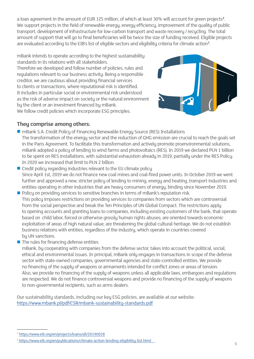a loan agreement in the amount of EUR 125 million, of which at least 30% will account for green projects**<sup>2</sup>** . We support projects in the field of renewable energy, energy efficiency, improvement of the quality of public transport, development of infrastructure for low-carbon transport and waste recovery / recycling. The total amount of support that will go to final beneficiaries will be twice the size of funding received. Eligible projects are evaluated according to the EIB's list of eligible sectors and eligibility criteria for climate action**<sup>3</sup>** .

mBank intends to operate according to the highest sustainability standards in its relations with all stakeholders. Therefore we developed and follow number of policies, rules and regulations relevant to our business activity. Being a responsible creditor, we are cautious about providing financial services to clients or transactions, where reputational risk is identified. It includes in particular social or environmental risk understood as the risk of adverse impact on society or the natural environment by the client or an investment financed by mBank. We follow credit policies which incorporate ESG principles.



#### **They comprise among others:**

- mBank S.A. Credit Policy of Financing Renewable Energy Source (RES) Installations The transformation of the energy sector and the reduction of GHG emission are crucial to reach the goals set in the Paris Agreement. To facilitate this transformation and actively promote proenvironmental solutions, mBank adopted a policy of lending to wind farms and photovoltaics (RES). In 2019 we declared PLN 1 billion to be spent on RES installations, with substantial exhaustion already in 2019, partially under the RES Policy. In 2020 we increased that limit to PLN 2 billion.
- $\blacksquare$  Credit policy regarding industries relevant to the EU climate policy Since April 1st, 2019 we do not finance new coal mines and coal-fired power units. In October 2019 we went further and approved a new, stricter policy of lending to mining, energy and heating, transport industries and entities operating in other industries that are heavy consumers of energy, binding since November 2019.
- Policy on providing services to sensitive branches in terms of mBank's reputation risk This policy imposes restrictions on providing services to companies from sectors which are controversial from the social perspective and break the Ten Principles of UN Global Compact. The restrictions apply to opening accounts and granting loans to companies, including existing customers of the bank, that operate based on child labor, forced or otherwise grossly human rights abuses; are oriented towards economic exploitation of areas of high natural value; are threatening the global cultural heritage. We do not establish business relations with entities, regardless of the industry, which operate in countries covered by UN sanctions.
- $\blacksquare$  The rules for financing defense entities

mBank, by cooperating with companies from the defense sector, takes into account the political, social, ethical and environmental issues. In principal, mBank only engages in transactions in scope of the defense sector with state-owned companies, governmental agencies and state-controlled entities. We provide no financing of the supply of weapons or armaments intended for conflict zones or areas of tension. Also, we provide no financing of the supply of weapons unless all applicable laws, embargoes and regulations are respected. We do not finance controversial weapons and provide no financing of the supply of weapons to non-governmental recipients, such as arms dealers.

Our sustainability standards, including our key ESG policies, are available at our website: <https://www.mbank.pl/pdf/CSR/mbank-sustainability-standards.pdf>

<sup>2</sup> <https://www.eib.org/en/projects/loans/all/20190028>

<sup>&</sup>lt;sup>3</sup><https://www.eib.org/en/publications/climate-action-lending-eligibility-list.html>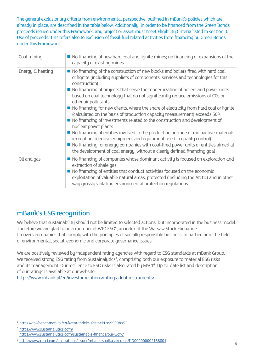The general exclusionary criteria from environmental perspective, outlined in mBank's policies which are already in place, are described in the table below. Additionally, in order to be financed from the Green Bonds proceeds issued under this Framework, any project or asset must meet Eligibility Criteria listed in section 3. Use of proceeds. This refers also to exclusion of fossil-fuel related activities from financing by Green Bonds under this Framework.

| Coal mining      | $\blacksquare$ No financing of new hard coal and lignite mines; no financing of expansions of the<br>capacity of existing mines                                                                                                                                                                                                                                                                                                                                                                                                                                                                                                                                                                                                                                                                                                                                                                                                                                                                               |
|------------------|---------------------------------------------------------------------------------------------------------------------------------------------------------------------------------------------------------------------------------------------------------------------------------------------------------------------------------------------------------------------------------------------------------------------------------------------------------------------------------------------------------------------------------------------------------------------------------------------------------------------------------------------------------------------------------------------------------------------------------------------------------------------------------------------------------------------------------------------------------------------------------------------------------------------------------------------------------------------------------------------------------------|
| Energy & heating | ■ No financing of the construction of new blocks and boilers fired with hard coal<br>or lignite (including suppliers of components, services and technologies for this<br>construction)<br>■ No financing of projects that serve the modernization of boilers and power units<br>based on coal technology that do not significantly reduce emissions of $CO2$ or<br>other air pollutants<br>No financing for new clients, where the share of electricity from hard coal or lignite<br>(calculated on the basis of production capacity measurement) exceeds 50%<br>■ No financing of investments related to the construction and development of<br>nuclear power plants<br>■ No financing of entities involved in the production or trade of radioactive materials<br>(exception: medical equipment and equipment used in quality control)<br>■ No financing for energy companies with coal-fired power units or entities aimed at<br>the development of coal energy, without a clearly defined financing goal |
| Oil and gas      | ■ No financing of companies whose dominant activity is focused on exploration and<br>extraction of shale gas<br>■ No financing of entities that conduct activities focused on the economic<br>exploitation of valuable natural areas, protected (including the Arctic) and in other<br>way grossly violating environmental protection regulations                                                                                                                                                                                                                                                                                                                                                                                                                                                                                                                                                                                                                                                             |

#### mBank's ESG recognition

We believe that sustainability should not be limited to selected actions, but incorporated in the business model. Therefore we are glad to be a member of WIG ESG<sup>4</sup>, an index of the Warsaw Stock Exchange. It covers companies that comply with the principles of socially responsible business, in particular in the field of environmental, social, economic and corporate governance issues.

We are positively reviewed by independent rating agencies with regard to ESG standards at mBank Group. We received strong ESG rating from Sustainalytics<sup>5</sup>, comprising both our exposure to material ESG risks and its management. Our resilience to ESG risks is also rated by MSCI**<sup>6</sup>** . Up-to-date list and description of our ratings is available at our website:

<https://www.mbank.pl/en/investor-relations/ratings-debt-instruments/>

<sup>4</sup> <https://gpwbenchmark.pl/en-karta-indeksu?isin=PL9999998955>

<sup>5</sup> <https://www.sustainalytics.com/> <https://www.sustainalytics.com/sustainable-finance/our-work/>

<sup>6</sup> <https://www.msci.com/esg-ratings/issuer/mbank-spolka-akcyjna/IID000000002158801>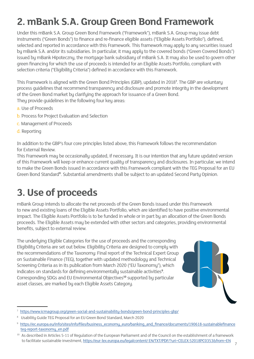# <span id="page-6-0"></span>**2. mBank S.A. Group Green Bond Framework**

Under this mBank S.A. Group Green Bond Framework ("Framework"), mBank S.A. Group may issue debt instruments ("Green Bonds") to finance and re-finance eligible assets ("Eligible Assets Portfolio"), defined, selected and reported in accordance with this Framework. This framework may apply to any securities issued by mBank S.A. and/or its subsidiaries. In particular, it may apply to the covered bonds ("Green Covered Bonds") issued by mBank Hipoteczny, the mortgage bank subsidiary of mBank S.A. It may also be used to govern other green financing for which the use of proceeds is intended for an Eligible Assets Portfolio, compliant with selection criteria ("Eligibility Criteria") defined in accordance with this Framework.

This Framework is aligned with the Green Bond Principles (GBP), updated in 2018**<sup>7</sup>** . The GBP are voluntary process guidelines that recommend transparency and disclosure and promote integrity in the development of the Green Bond market by clarifying the approach for issuance of a Green Bond. They provide guidelines in the following four key areas:

- a. Use of Proceeds
- b. Process for Project Evaluation and Selection
- c. Management of Proceeds
- d. Reporting

In addition to the GBP's four core principles listed above, this Framework follows the recommendation for External Review.

This Framework may be occasionally updated, if necessary. It is our intention that any future updated version of this Framework will keep or enhance current quality of transparency and disclosures. In particular, we intend to make the Green Bonds issued in accordance with this Framework compliant with the TEG Proposal for an EU Green Bond Standard**<sup>8</sup>** . Substantial amendments shall be subject to an updated Second Party Opinion.

## **3. Use of proceeds**

mBank Group intends to allocate the net proceeds of the Green Bonds issued under this Framework to new and existing loans of the Eligible Assets Portfolio, which are identified to have positive environmental impact. The Eligible Assets Portfolio is to be funded in whole or in part by an allocation of the Green Bonds proceeds. The Eligible Assets may be extended with other sectors and categories, providing environmental benefits, subject to external review.

The underlying Eligible Categories for the use of proceeds and the corresponding Eligibility Criteria are set out below. Eligibility Criteria are designed to comply with the recommendations of the Taxonomy: Final report of the Technical Expert Group on Sustainable Finance (TEG), together with updated methodology and Technical Screening Criteria as in its publication from March 2020 ("EU Taxonomy"), which indicates on standards for defining environmentally sustainable activities**<sup>9</sup>** . Corresponding SDGs and EU Environmental Objectives**10** supported by particular asset classes, are marked by each Eligible Assets Category.



<sup>7</sup> <https://www.icmagroup.org/green-social-and-sustainability-bonds/green-bond-principles-gbp/>

<sup>8</sup> Usability Guide TEG Proposal for an EU Green Bond Standard, March 2020

<sup>9</sup> [https://ec.europa.eu/info/sites/info/files/business\\_economy\\_euro/banking\\_and\\_finance/documents/190618-sustainablefinance](https://ec.europa.eu/info/files/200309-sustainable-finance-teg-final-report-taxonomy_en) [teg-report-taxonomy\\_en.pdf](https://ec.europa.eu/info/files/200309-sustainable-finance-teg-final-report-taxonomy_en)

<sup>&</sup>lt;sup>10</sup> As described in Articles 5-11 of Regulation of the European Parliament and of the Council on the establishment of a framework to facilitate sustainable investment, [https://eur-lex.europa.eu/legalcontent/ EN/TXT/PDF/?uri=CELEX:52018PC0353&from=EN](https://eur-lex.europa.eu/legal-content/EN/TXT/PDF/?uri=CELEX:52018PC0353&from=EN)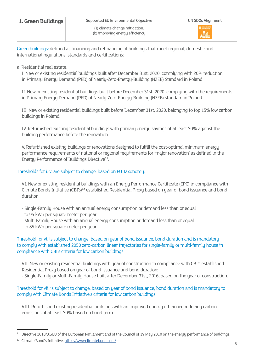| 1. Green Buildings | Supported EU Environmental Objective                              | <b>UN SDGs Alignment</b>  |
|--------------------|-------------------------------------------------------------------|---------------------------|
|                    | (1) climate change mitigation:<br>(b) improving energy efficiency | 11 assumed cress<br>Allen |

Green buildings: defined as financing and refinancing of buildings that meet regional, domestic and international regulations, standards and certifications:

#### a. Residential real estate:

I. New or existing residential buildings built after December 31st, 2020, complying with 20% reduction in Primary Energy Demand (PED) of Nearly-Zero-Energy-Building (NZEB) Standard in Poland.

II. New or existing residential buildings built before December 31st, 2020, complying with the requirements in Primary Energy Demand (PED) of Nearly-Zero-Energy-Building (NZEB) standard in Poland.

III. New or existing residential buildings built before December 31st, 2020, belonging to top 15% low carbon buildings in Poland.

IV. Refurbished existing residential buildings with primary energy savings of at least 30% against the building performance before the renovation.

V. Refurbished existing buildings or renovations designed to fulfill the cost-optimal minimum energy performance requirements of national or regional requirements for 'major renovation' as defined in the Energy Performance of Buildings Directive**11**.

#### Thresholds for i.-v. are subject to change, based on EU Taxonomy.

VI. New or existing residential buildings with an Energy Performance Certificate (EPC) in compliance with Climate Bonds Initiative (CBI's)**12** established Residential Proxy based on year of bond issuance and bond duration:

- Single-Family House with an annual energy consumption or demand less than or equal to 95 kWh per square meter per year.
- Multi-Family House with an annual energy consumption or demand less than or equal to 85 kWh per square meter per year.

Threshold for vi. is subject to change, based on year of bond issuance, bond duration and is mandatory to complu with established 2050 zero-carbon linear trajectories for single-family or multi-family house in compliance with CBI's criteria for low carbon buildings.

VII. New or existing residential buildings with year of construction in compliance with CBI's established Residential Proxy based on year of bond issuance and bond duration:

- Single-Family or Multi-Family House built after December 31st, 2016, based on the year of construction.

Threshold for vii. is subject to change, based on year of bond issuance, bond duration and is mandatory to comply with Climate Bonds Initiative's criteria for low carbon buildings.

VIII. Refurbished existing residential buildings with an improved energy efficiency reducing carbon emissions of at least 30% based on bond term.

<sup>&</sup>lt;sup>11</sup> Directive 2010/31/EU of the European Parliament and of the Council of 19 May 2010 on the energy performance of buildings.

<sup>12</sup> Climate Bond's Initiative,<https://www.climatebonds.net/>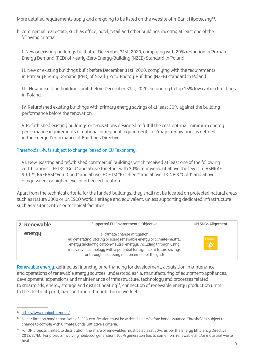More detailed requirements apply and are going to be listed on the website of mBank Hipoteczny**13**.

b. Commercial real estate, such as office, hotel, retail and other buildings meeting at least one of the following criteria:

I. New or existing buildings built after December 31st, 2020, complying with 20% reduction in Primary Energy Demand (PED) of Nearly-Zero-Energy-Building (NZEB) Standard in Poland.

II. New or existing buildings built before December 31st, 2020, complying with the requirements in Primary Energy Demand (PED) of Nearly-Zero-Energy-Building (NZEB) standard in Poland.

III. New or existing buildings built before December 31st, 2020, belonging to top 15% low carbon buildings in Poland.

IV. Refurbished existing buildings with primary energy savings of at least 30% against the building performance before the renovation.

V. Refurbished existing buildings or renovations designed to fulfill the cost-optimal minimum energy performance requirements of national or regional requirements for 'major renovation' as defined in the Energy Performance of Buildings Directive.

#### Thresholds i.-iv. is subject to change, based on EU Taxonomy.

VI. New, existing and refurbished commercial buildings which received at least one of the following certifications: LEED® "Gold" and above together with 30% improvement above the levels in ASHRAE 90.1.**14**, BREEAM "Very Good" and above, HQETM "Excellent" and above, DGNB® "Gold" and above, or equivalent or higher level of other certification.

Apart from the technical criteria for the funded buildings, they shall not be located on protected natural areas such as Natura 2000 or UNESCO World Heritage and equivalent, unless supporting dedicated infrastructure such as visitor centres or technical facilities.

| 2. Renewable | Supported EU Environmental Objective                                                                                                                                                                                                                                                                    | <b>UN SDGs Alignment</b> |
|--------------|---------------------------------------------------------------------------------------------------------------------------------------------------------------------------------------------------------------------------------------------------------------------------------------------------------|--------------------------|
| energy       | (1) climate change mitigation.<br>(a) generating, storing or using renewable energy or climate-neutral<br>energy (including carbon-neutral energy), including through using<br>innovative technology with a potential for significant future savings<br>or through necessary reinforcement of the grid; | $7$ allowance and<br>☀   |

Renewable energy: defined as financing or refinancing for development, acquisition, maintenance and operations of renewable energy sources, understood as i.a. manufacturing of equipment/appliances, development, expansions and maintenance of infrastructure, technology and processes related to smartgrids, energy storage and district heating**15**, connection of renewable energy production units to the electricity grid, transportation through the network etc.

<sup>13</sup> <https://www.mhipoteczny.pl/>

<sup>&</sup>lt;sup>14</sup> 6 year limit on bond tenor. Date of LEED certification must be within 5 years before bond issuance. Threshold is subject to change to comply with Climate Bonds Initiative's criteria.

<sup>&</sup>lt;sup>15</sup> For DH projects limited to distribution, the share of renewables must be at least 50%, as per the Energy Efficiency Directive 2012/27/EU. For projects involving heat/cool generation, 100% generation has to come from renewable and/or industrial waste heat.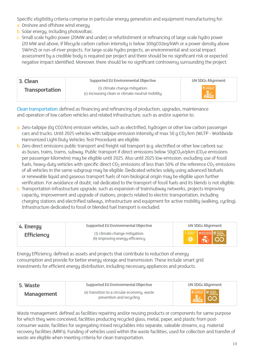Specific eligibility criteria comprise in particular energy generation and equipment manufacturing for:

- a. Onshore and offshore wind energy.
- b. Solar energy, including photovoltaic.
- c. Small scale hydro power (20MW and under) or refurbishment or refinancing of large scale hydro power (20 MW and above, if lifecycle carbon carbon intensity is below 100gCO2eq/kWh or a power density above 5W/m2) or run-of-river projects. For large-scale hydro projects, an environmental and social impact assessment by a credible body is required per project and there should be no significant risk or expected negative impact identified. Moreover, there should be no significant controversy surrounding the project.

| 3. Clean              | Supported EU Environmental Objective                                               | UN SDGs Alignment                   |
|-----------------------|------------------------------------------------------------------------------------|-------------------------------------|
| <b>Transportation</b> | (1) climate change mitigation:<br>(c) increasing clean or climate-neutral mobility | 11 SUSTAINABLE CITES<br><b>Alle</b> |

Clean transportation: defined as financing and refinancing of production, upgrades, maintenance and operation of low carbon vehicles and related infrastructure, such as and/or superior to:

- a. Zero-tailpipe (0g CO2/km) emission vehicles, such as electrified, hydrogen or other low carbon passenger cars and trucks. Until 2025 vehicles with tailpipe emission intensity of max 50 g CO<sub>2</sub>/km (WLTP - Worldwide Harmonized Light-Duty Vehicles Test Procedure) are eligible.
- b. Zero direct emissions public transport and freight rail transport (e.g. electrified or other low carbon) suc as buses, trains, trams, subway. Public transport if direct emissions below 50qCO<sub>2</sub>e/pkm (CO<sub>2</sub>e emissions) per passenger kilometre) may be eligible until 2025. Also until 2025 low-emission, excluding use of fossil fuels, heavy-duty vehicles with specific direct  $CO<sub>2</sub>$  emissions of less than 50% of the reference  $CO<sub>2</sub>$  emissions of all vehicles in the same subgroup may be eligible. Dedicated vehicles solely using advanced biofuels or renewable liquid and gaseous transport fuels of non-biological origin may be eligible upon further verification. For avoidance of doubt, rail dedicated to the transport of fossil fuels and its blends is not eligible.
- c. Transportation infrastructure upgrade, such as expansion of train/subway networks, projects improving capacity, improvement and upgrade of stations, projects related to electric transportation, including charging stations and electrified railways, infrastructure and equipment for active mobility (walking, cycling). Infrastructure dedicated to fossil or blended fuel transport is excluded.

| 4. Energy         | Supported EU Environmental Objective                              | UN SDGs Alignment                                |
|-------------------|-------------------------------------------------------------------|--------------------------------------------------|
| <b>Efficiency</b> | (1) climate change mitigation:<br>(b) improving energy efficiency | $\frac{1}{100}$ $\frac{9}{100}$ $\frac{12}{100}$ |

Energy Efficiency: defined as assets and projects that contribute to reduction of energy consumption and provide for better energy storage and transmission. These include smart grid investments for efficient energy distribution, including necessary appliances and products.

| 5. Waste          | Supported EU Environmental Objective                                    | UN SDGs Alignment                                                                                            |
|-------------------|-------------------------------------------------------------------------|--------------------------------------------------------------------------------------------------------------|
| <b>Management</b> | (4) transition to a circular economy, waste<br>prevention and recycling | $\begin{array}{c c}\n\text{m} & \text{m} \\ \hline\n\text{m} & \text{m} \\ \text{m} & \text{m}\n\end{array}$ |

Waste management: defined as facilities repairing and/or reusing products or components for same purpose for which they were conceived, facilities producing recycled glass, metal, paper, and plastic from postconsumer waste, facilities for segregating mixed recyclables into separate, saleable streams, e.g. material recovery facilities (MRFs). Funding of vehicles used within the waste facilities, used for collection and transfer of waste are eligible when meeting criteria for clean transportation.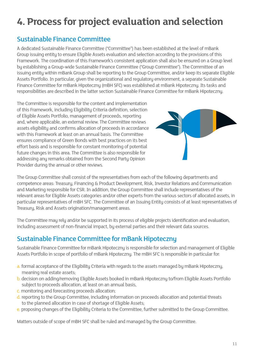# <span id="page-10-0"></span>**4. Process for project evaluation and selection**

#### Sustainable Finance Committee

A dedicated Sustainable Finance Committee ("Committee") has been established at the level of mBank Group issuing entity to ensure Eligible Assets evaluation and selection according to the provisions of this Framework. The coordination of this Framework's consistent application shall also be ensured on a Group level by establishing a Group-wide Sustainable Finance Committee ("Group Committee"). The Committee of an issuing entity within mBank Group shall be reporting to the Group Committee, and/or keep its separate Eligible Assets Portfolio. In particular, given the organizational and regulatory environment, a separate Sustainable Finance Committee for mBank Hipoteczny (mBH SFC) was established at mBank Hipoteczny. Its tasks and responsibilities are described in the latter section Sustainable Finance Committee for mBank Hipoteczny.

The Committee is responsible for the content and implementation of this Framework, including Eligibility Criteria definition, selection of Eligible Assets Portfolio, management of proceeds, reporting and, where applicable, an external review. The Committee reviews assets eligibility and confirms allocation of proceeds in accordance with this Framework at least on an annual basis. The Committee ensures compliance of Green Bonds with best practices on its best effort basis and is responsible for constant monitoring of potential future changes in this area. The Committee is also responsible for addressing any remarks obtained from the Second Party Opinion Provider during the annual or other reviews.



The Group Committee shall consist of the representatives from each of the following departments and competence areas: Treasury, Financing & Product Development, Risk, Investor Relations and Communication and Marketing responsible for CSR. In addition, the Group Committee shall include representatives of the relevant areas for Eligible Assets categories and/or other experts from the various sectors of allocated assets, in particular representatives of mBH SFC. The Committee of an Issuing Entity consists of at least representatives of Treasury, Risk and Assets origination/management areas.

The Committee may rely and/or be supported in its process of eligible projects identification and evaluation, including assessment of non-financial impact, by external parties and their relevant data sources.

#### Sustainable Finance Committee for mBank Hipoteczny

Sustainable Finance Committee for mBank Hipoteczny is responsible for selection and management of Eligible Assets Portfolio in scope of portfolio of mBank Hipoteczny. The mBH SFC is responsible in particular for:

- a. formal acceptance of the Eligibility Criteria with regards to the assets managed by mBank Hipoteczny, meaning real estate assets;
- b. decision on adding/removing Eligible Assets booked in mBank Hipoteczny to/from Eligible Assets Portfolio subject to proceeds allocation, at least on an annual basis,
- c. monitoring and forecasting proceeds allocation;
- d. reporting to the Group Committee, including information on proceeds allocation and potential threats to the planned allocation in case of shortage of Eligible Assets;
- e. proposing changes of the Eligibility Criteria to the Committee, further submitted to the Group Committee.

Matters outside of scope of mBH SFC shall be ruled and managed by the Group Committee.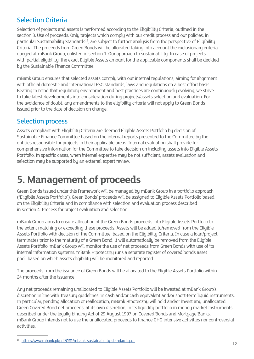#### <span id="page-11-0"></span>Selection Criteria

Selection of projects and assets is performed according to the Eligibility Criteria, outlined in the section 3. Use of proceeds. Only projects which comply with our credit process and our policies, in particular Sustainability Standards**16**, are subject to further analysis from the perspective of Eligibility Criteria. The proceeds from Green Bonds will be allocated taking into account the exclusionary criteria obeyed at mBank Group, enlisted in section 1. Our approach to sustainability. In case of projects with partial eligibility, the exact Eligible Assets amount for the applicable components shall be decided by the Sustainable Finance Committee.

mBank Group ensures that selected assets comply with our internal regulations, aiming for alignment with official domestic and international ESG standards, laws and regulations on a best effort basis. Bearing in mind that regulatory environment and best practices are continuously evolving, we strive to take latest developments into consideration during projects/assets selection and evaluation. For the avoidance of doubt, any amendments to the eligibility criteria will not apply to Green Bonds issued prior to the date of decision on change.

#### Selection process

Assets compliant with Eligibility Criteria are deemed Eligible Assets Portfolio by decision of Sustainable Finance Committee based on the internal reports presented to the Committee by the entities responsible for projects in their applicable areas. Internal evaluation shall provide for comprehensive information for the Committee to take decision on including assets into Eligible Assets Portfolio. In specific cases, when internal expertise may be not sufficient, assets evaluation and selection may be supported by an external expert review.

# **5. Management of proceeds**

Green Bonds issued under this Framework will be managed by mBank Group in a portfolio approach ("Eligibile Assets Portfolio"). Green Bonds' proceeds will be assigned to Eligible Assets Portfolio based on the Eligibility Criteria and in compliance with selection and evaluation process described in section 4. Process for project evaluation and selection.

mBank Group aims to ensure allocation of the Green Bonds proceeds into Eligible Assets Portfolio to the extent matching or exceeding these proceeds. Assets will be added to/removed from the Eligible Assets Portfolio with decision of the Committee, based on the Eligibility Criteria. In case a loan/project terminates prior to the maturity of a Green Bond, it will automatically be removed from the Eligible Assets Portfolio. mBank Group will monitor the use of net proceeds from Green Bonds with use of its internal information systems. mBank Hipoteczny runs a separate register of covered bonds asset pool, based on which assets eligibility will be monitored and reported.

The proceeds from the issuance of Green Bonds will be allocated to the Eligible Assets Portfolio within 24 months after the issuance.

Any net proceeds remaining unallocated to Eligible Assets Portfolio will be invested at mBank Group's discretion in line with Treasury guidelines, in cash and/or cash equivalent and/or short-term liquid instruments. In particular, pending allocation or reallocation, mBank Hipoteczny will hold and/or invest any unallocated Green Covered Bond net proceeds, at its own discretion, in its liquidity portfolio in money market instruments described under the legally binding Act of 29 August 1997 on Covered Bonds and Mortgage Banks. mBank Group intends not to use the unallocated proceeds to finance GHG intensive activities nor controversial activities.

<sup>16</sup> <https://www.mbank.pl/pdf/CSR/mbank-sustainability-standards.pdf>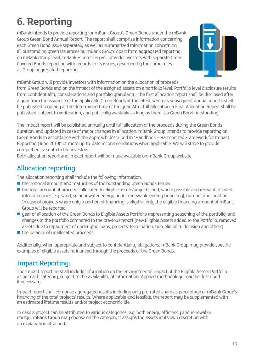# <span id="page-12-0"></span>**6. Reporting**

mBank intends to provide reporting for mBank Group's Green Bonds under the mBank Group Green Bond Annual Report. The report shall comprise information concerning each Green Bond issue separately as well as summarized information concerning all outstanding green issuances by mBank Group. Apart from aggregated reporting on mBank Group level, mBank Hipoteczny will provide investors with separate Green Covered Bonds reporting with regards to its issues, governed by the same rules as Group aggregated reporting.



mBank Group will provide investors with information on the allocation of proceeds

from Green Bonds and on the impact of the assigned assets on a portfolio level. Portfolio level disclosure results from confidentiality considerations and portfolio granularity. The first allocation report shall be disclosed after a year from the issuance of the applicable Green Bonds at the latest, whereas subsequent annual reports shall be published regularly at the determined time of the year. After full allocation, a Final Allocation Report shall be published, subject to verification, and publically available as long as there is a Green Bond outstanding.

The impact report will be published annually until full allocation of the proceeds during the Green Bonds duration, and updated in case of major changes in allocation. mBank Group intends to provide reporting on Green Bonds in accordance with the approach described in "Handbook – Harmonized Framework for Impact Reporting (June 2019)" or more up-to-date recommendations when applicable. We will strive to provide comprehensive data to the investors.

Both allocation report and impact report will be made available on mBank Group website.

### Allocation reporting:

The allocation reporting shall include the following information:

- $\blacksquare$  the notional amount and maturities of the outstanding Green Bonds Issues
- the total amount of proceeds allocated to eligible assets/projects, and, where possible and relevant, divided into categories (e.g. wind, solar or water energy under renewable energy financing), number and location. In case of projects where only a portion of financing is eligible, only the eligible financing amount of mBank Group will be reported
- year of allocation of the Green Bonds to Eligible Assets Portfolio (representing seasoning of the portfolio) and changes in the portfolio compared to the previous report (new Eligible Assets added to the Portfolio, removed assets due to repayment of underlying loans, projects' termination, non-eligibility decision and others)
- $\blacksquare$  the balance of unallocated proceeds

Additionally, when appropriate and subject to confidentiality obligations, mBank Group may provide specific examples of eligible assets refinanced through the proceeds of the Green Bonds.

### Impact Reporting:

The impact reporting shall include information on the environmental impact of the Eligible Assets Portfolio as per each category, subject to the availability of information. Applied methodology may be described if necessary.

Impact report shall comprise aggregated results including only pro-rated share as percentage of mBank Group's financing of the total projects' results. Where applicable and feasible, the report may be supplemented with an estimated lifetime results and/or project economic life.

In case a project can be attributed to various categories, e.g. both energy efficiency and renewable energy, mBank Group may choose on the category it assigns the assets at its own discretion with an explanation attached.